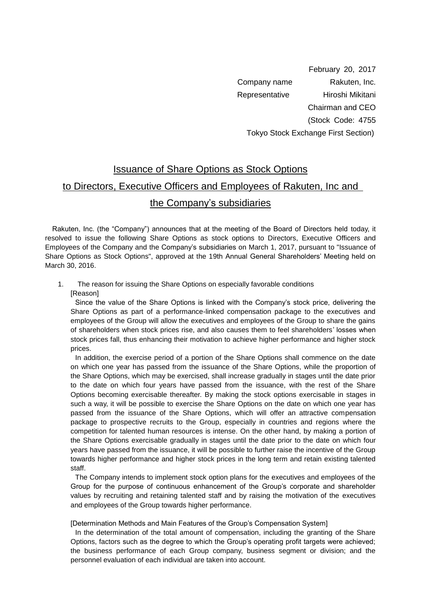February 20, 2017 Company name Rakuten, Inc. Representative Hiroshi Mikitani Chairman and CEO (Stock Code: 4755 Tokyo Stock Exchange First Section)

## Issuance of Share Options as Stock Options

## to Directors, Executive Officers and Employees of Rakuten, Inc and

## the Company's subsidiaries

 Rakuten, Inc. (the "Company") announces that at the meeting of the Board of Directors held today, it resolved to issue the following Share Options as stock options to Directors, Executive Officers and Employees of the Company and the Company's subsidiaries on March 1, 2017, pursuant to "Issuance of Share Options as Stock Options", approved at the 19th Annual General Shareholders' Meeting held on March 30, 2016.

1. The reason for issuing the Share Options on especially favorable conditions [Reason]

Since the value of the Share Options is linked with the Company's stock price, delivering the Share Options as part of a performance-linked compensation package to the executives and employees of the Group will allow the executives and employees of the Group to share the gains of shareholders when stock prices rise, and also causes them to feel shareholders' losses when stock prices fall, thus enhancing their motivation to achieve higher performance and higher stock prices.

In addition, the exercise period of a portion of the Share Options shall commence on the date on which one year has passed from the issuance of the Share Options, while the proportion of the Share Options, which may be exercised, shall increase gradually in stages until the date prior to the date on which four years have passed from the issuance, with the rest of the Share Options becoming exercisable thereafter. By making the stock options exercisable in stages in such a way, it will be possible to exercise the Share Options on the date on which one year has passed from the issuance of the Share Options, which will offer an attractive compensation package to prospective recruits to the Group, especially in countries and regions where the competition for talented human resources is intense. On the other hand, by making a portion of the Share Options exercisable gradually in stages until the date prior to the date on which four years have passed from the issuance, it will be possible to further raise the incentive of the Group towards higher performance and higher stock prices in the long term and retain existing talented staff.

The Company intends to implement stock option plans for the executives and employees of the Group for the purpose of continuous enhancement of the Group's corporate and shareholder values by recruiting and retaining talented staff and by raising the motivation of the executives and employees of the Group towards higher performance.

[Determination Methods and Main Features of the Group's Compensation System]

In the determination of the total amount of compensation, including the granting of the Share Options, factors such as the degree to which the Group's operating profit targets were achieved; the business performance of each Group company, business segment or division; and the personnel evaluation of each individual are taken into account.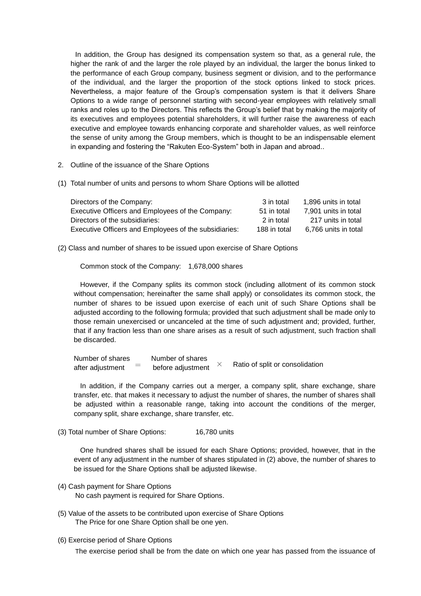In addition, the Group has designed its compensation system so that, as a general rule, the higher the rank of and the larger the role played by an individual, the larger the bonus linked to the performance of each Group company, business segment or division, and to the performance of the individual, and the larger the proportion of the stock options linked to stock prices. Nevertheless, a major feature of the Group's compensation system is that it delivers Share Options to a wide range of personnel starting with second-year employees with relatively small ranks and roles up to the Directors. This reflects the Group's belief that by making the majority of its executives and employees potential shareholders, it will further raise the awareness of each executive and employee towards enhancing corporate and shareholder values, as well reinforce the sense of unity among the Group members, which is thought to be an indispensable element in expanding and fostering the "Rakuten Eco-System" both in Japan and abroad..

- 2. Outline of the issuance of the Share Options
- (1) Total number of units and persons to whom Share Options will be allotted

| Directors of the Company:                             | 3 in total   | 1.896 units in total |
|-------------------------------------------------------|--------------|----------------------|
| Executive Officers and Employees of the Company:      | 51 in total  | 7.901 units in total |
| Directors of the subsidiaries:                        | 2 in total   | 217 units in total   |
| Executive Officers and Employees of the subsidiaries: | 188 in total | 6.766 units in total |

(2) Class and number of shares to be issued upon exercise of Share Options

Common stock of the Company: 1,678,000 shares

However, if the Company splits its common stock (including allotment of its common stock without compensation; hereinafter the same shall apply) or consolidates its common stock, the number of shares to be issued upon exercise of each unit of such Share Options shall be adjusted according to the following formula; provided that such adjustment shall be made only to those remain unexercised or uncanceled at the time of such adjustment and; provided, further, that if any fraction less than one share arises as a result of such adjustment, such fraction shall be discarded.

Number of shares Number of shares after adjustment  $\sigma =$  before adjustment  $\times$ Ratio of split or consolidation

In addition, if the Company carries out a merger, a company split, share exchange, share transfer, etc. that makes it necessary to adjust the number of shares, the number of shares shall be adjusted within a reasonable range, taking into account the conditions of the merger, company split, share exchange, share transfer, etc.

(3) Total number of Share Options: 16,780 units

One hundred shares shall be issued for each Share Options; provided, however, that in the event of any adjustment in the number of shares stipulated in (2) above, the number of shares to be issued for the Share Options shall be adjusted likewise.

- (4) Cash payment for Share Options No cash payment is required for Share Options.
- (5) Value of the assets to be contributed upon exercise of Share Options The Price for one Share Option shall be one yen.
- (6) Exercise period of Share Options

The exercise period shall be from the date on which one year has passed from the issuance of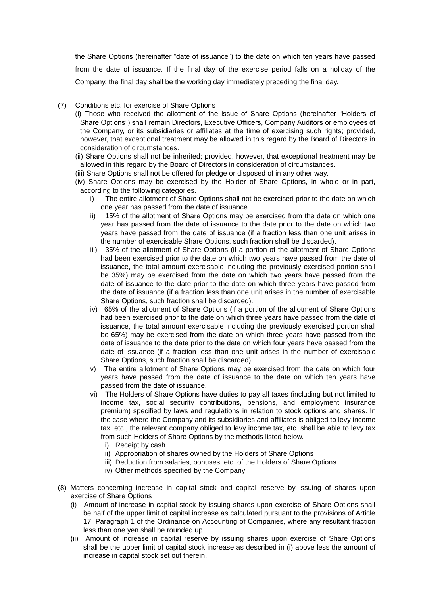the Share Options (hereinafter "date of issuance") to the date on which ten years have passed from the date of issuance. If the final day of the exercise period falls on a holiday of the Company, the final day shall be the working day immediately preceding the final day.

- (7) Conditions etc. for exercise of Share Options
	- (i) Those who received the allotment of the issue of Share Options (hereinafter "Holders of Share Options") shall remain Directors, Executive Officers, Company Auditors or employees of the Company, or its subsidiaries or affiliates at the time of exercising such rights; provided, however, that exceptional treatment may be allowed in this regard by the Board of Directors in consideration of circumstances.
	- (ii) Share Options shall not be inherited; provided, however, that exceptional treatment may be allowed in this regard by the Board of Directors in consideration of circumstances.
	- (iii) Share Options shall not be offered for pledge or disposed of in any other way.
	- (iv) Share Options may be exercised by the Holder of Share Options, in whole or in part, according to the following categories.
		- i) The entire allotment of Share Options shall not be exercised prior to the date on which one year has passed from the date of issuance.
		- ii) 15% of the allotment of Share Options may be exercised from the date on which one year has passed from the date of issuance to the date prior to the date on which two years have passed from the date of issuance (if a fraction less than one unit arises in the number of exercisable Share Options, such fraction shall be discarded).
		- iii) 35% of the allotment of Share Options (if a portion of the allotment of Share Options had been exercised prior to the date on which two years have passed from the date of issuance, the total amount exercisable including the previously exercised portion shall be 35%) may be exercised from the date on which two years have passed from the date of issuance to the date prior to the date on which three years have passed from the date of issuance (if a fraction less than one unit arises in the number of exercisable Share Options, such fraction shall be discarded).
		- iv) 65% of the allotment of Share Options (if a portion of the allotment of Share Options had been exercised prior to the date on which three years have passed from the date of issuance, the total amount exercisable including the previously exercised portion shall be 65%) may be exercised from the date on which three years have passed from the date of issuance to the date prior to the date on which four years have passed from the date of issuance (if a fraction less than one unit arises in the number of exercisable Share Options, such fraction shall be discarded).
		- v) The entire allotment of Share Options may be exercised from the date on which four years have passed from the date of issuance to the date on which ten years have passed from the date of issuance.
		- vi) The Holders of Share Options have duties to pay all taxes (including but not limited to income tax, social security contributions, pensions, and employment insurance premium) specified by laws and regulations in relation to stock options and shares. In the case where the Company and its subsidiaries and affiliates is obliged to levy income tax, etc., the relevant company obliged to levy income tax, etc. shall be able to levy tax from such Holders of Share Options by the methods listed below.
			- i) Receipt by cash
			- ii) Appropriation of shares owned by the Holders of Share Options
			- iii) Deduction from salaries, bonuses, etc. of the Holders of Share Options
			- iv) Other methods specified by the Company
- (8) Matters concerning increase in capital stock and capital reserve by issuing of shares upon exercise of Share Options
	- (i) Amount of increase in capital stock by issuing shares upon exercise of Share Options shall be half of the upper limit of capital increase as calculated pursuant to the provisions of Article 17, Paragraph 1 of the Ordinance on Accounting of Companies, where any resultant fraction less than one yen shall be rounded up.
	- (ii) Amount of increase in capital reserve by issuing shares upon exercise of Share Options shall be the upper limit of capital stock increase as described in (i) above less the amount of increase in capital stock set out therein.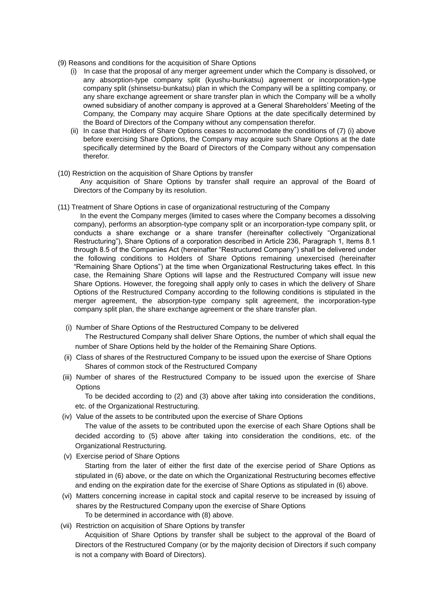- (9) Reasons and conditions for the acquisition of Share Options
	- (i) In case that the proposal of any merger agreement under which the Company is dissolved, or any absorption-type company split (kyushu-bunkatsu) agreement or incorporation-type company split (shinsetsu-bunkatsu) plan in which the Company will be a splitting company, or any share exchange agreement or share transfer plan in which the Company will be a wholly owned subsidiary of another company is approved at a General Shareholders' Meeting of the Company, the Company may acquire Share Options at the date specifically determined by the Board of Directors of the Company without any compensation therefor.
	- (ii) In case that Holders of Share Options ceases to accommodate the conditions of (7) (i) above before exercising Share Options, the Company may acquire such Share Options at the date specifically determined by the Board of Directors of the Company without any compensation therefor.
- (10) Restriction on the acquisition of Share Options by transfer Any acquisition of Share Options by transfer shall require an approval of the Board of Directors of the Company by its resolution.
- (11) Treatment of Share Options in case of organizational restructuring of the Company
	- In the event the Company merges (limited to cases where the Company becomes a dissolving company), performs an absorption-type company split or an incorporation-type company split, or conducts a share exchange or a share transfer (hereinafter collectively "Organizational Restructuring"), Share Options of a corporation described in Article 236, Paragraph 1, Items 8.1 through 8.5 of the Companies Act (hereinafter "Restructured Company") shall be delivered under the following conditions to Holders of Share Options remaining unexercised (hereinafter "Remaining Share Options") at the time when Organizational Restructuring takes effect. In this case, the Remaining Share Options will lapse and the Restructured Company will issue new Share Options. However, the foregoing shall apply only to cases in which the delivery of Share Options of the Restructured Company according to the following conditions is stipulated in the merger agreement, the absorption-type company split agreement, the incorporation-type company split plan, the share exchange agreement or the share transfer plan.
	- (i) Number of Share Options of the Restructured Company to be delivered

The Restructured Company shall deliver Share Options, the number of which shall equal the number of Share Options held by the holder of the Remaining Share Options.

- (ii) Class of shares of the Restructured Company to be issued upon the exercise of Share Options Shares of common stock of the Restructured Company
- (iii) Number of shares of the Restructured Company to be issued upon the exercise of Share **Options**

To be decided according to (2) and (3) above after taking into consideration the conditions, etc. of the Organizational Restructuring.

(iv) Value of the assets to be contributed upon the exercise of Share Options

The value of the assets to be contributed upon the exercise of each Share Options shall be decided according to (5) above after taking into consideration the conditions, etc. of the Organizational Restructuring.

- (v) Exercise period of Share Options Starting from the later of either the first date of the exercise period of Share Options as stipulated in (6) above, or the date on which the Organizational Restructuring becomes effective and ending on the expiration date for the exercise of Share Options as stipulated in (6) above.
- (vi) Matters concerning increase in capital stock and capital reserve to be increased by issuing of shares by the Restructured Company upon the exercise of Share Options To be determined in accordance with (8) above.
- (vii) Restriction on acquisition of Share Options by transfer

Acquisition of Share Options by transfer shall be subject to the approval of the Board of Directors of the Restructured Company (or by the majority decision of Directors if such company is not a company with Board of Directors).